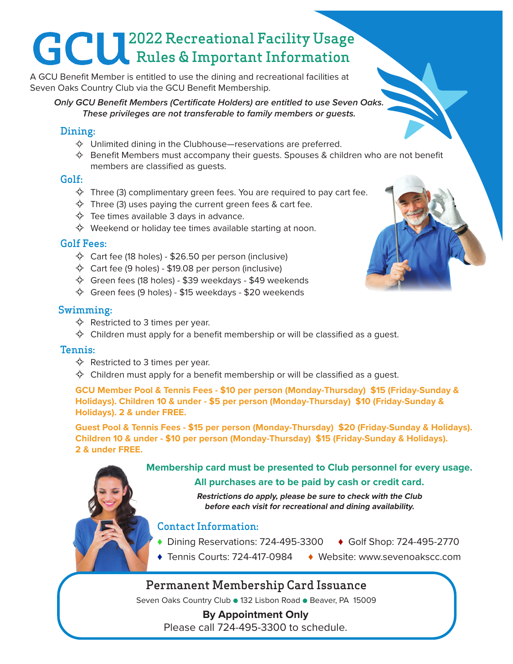# 2022 Recreational Facility Usage Rules & Important Information

A GCU Benefit Member is entitled to use the dining and recreational facilities at Seven Oaks Country Club via the GCU Benefit Membership.

*Only GCU Benefit Members (Certificate Holders) are entitled to use Seven Oaks. These privileges are not transferable to family members or guests.*

#### Dining:

- $\Diamond$  Unlimited dining in the Clubhouse—reservations are preferred.
- $\Leftrightarrow$  Benefit Members must accompany their guests. Spouses & children who are not benefit members are classified as guests.

#### Golf:

- $\diamondsuit$  Three (3) complimentary green fees. You are required to pay cart fee.
- $\diamondsuit$  Three (3) uses paying the current green fees & cart fee.
- $\Leftrightarrow$  Tee times available 3 days in advance.
- $\diamondsuit$  Weekend or holiday tee times available starting at noon.

#### Golf Fees:

- $\diamondsuit$  Cart fee (18 holes) \$26.50 per person (inclusive)
- $\diamondsuit$  Cart fee (9 holes) \$19.08 per person (inclusive)
- $\diamondsuit$  Green fees (18 holes) \$39 weekdays \$49 weekends
- $\diamondsuit$  Green fees (9 holes) \$15 weekdays \$20 weekends

#### Swimming:

- $\Leftrightarrow$  Restricted to 3 times per year.
- $\diamondsuit$  Children must apply for a benefit membership or will be classified as a quest.

#### Tennis:

- $\Leftrightarrow$  Restricted to 3 times per year.
- $\diamondsuit$  Children must apply for a benefit membership or will be classified as a guest.

**GCU Member Pool & Tennis Fees - \$10 per person (Monday-Thursday) \$15 (Friday-Sunday & Holidays). Children 10 & under - \$5 per person (Monday-Thursday) \$10 (Friday-Sunday & Holidays). 2 & under FREE.**

**Guest Pool & Tennis Fees - \$15 per person (Monday-Thursday) \$20 (Friday-Sunday & Holidays). Children 10 & under - \$10 per person (Monday-Thursday) \$15 (Friday-Sunday & Holidays). 2 & under FREE.**

**Membership card must be presented to Club personnel for every usage.**

#### **All purchases are to be paid by cash or credit card.**

**Restrictions do apply, please be sure to check with the Club before each visit for recreational and dining availability.**

#### Contact Information:

- ♦ Dining Reservations: 724-495-3300 ♦ Golf Shop: 724-495-2770
- ♦ Tennis Courts: 724-417-0984 ♦ Website: www.sevenoakscc.com

### Permanent Membership Card Issuance

Seven Oaks Country Club ● 132 Lisbon Road ● Beaver, PA 15009

**By Appointment Only** Please call 724-495-3300 to schedule.